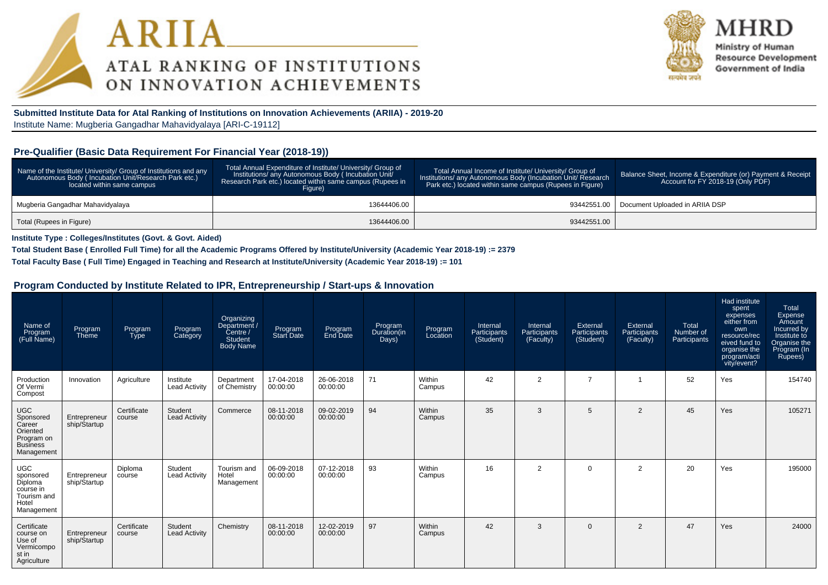



Ministry of Human **Resource Development** Government of India

**Submitted Institute Data for Atal Ranking of Institutions on Innovation Achievements (ARIIA) - 2019-20**Institute Name: Mugberia Gangadhar Mahavidyalaya [ARI-C-19112]

# **Pre-Qualifier (Basic Data Requirement For Financial Year (2018-19))**

| Name of the Institute/ University/ Group of Institutions and any<br>Autonomous Body (Incubation Unit/Research Park etc.)<br>located within same campus | Total Annual Expenditure of Institute/ University/ Group of<br>Institutions/ any Autonomous Body (Incubation Unit/<br>Research Park etc.) located within same campus (Rupees in<br>Fiaure) | Total Annual Income of Institute/ University/ Group of<br>Institutions/ any Autonomous Body (Incubation Unit/ Research<br>Park etc.) located within same campus (Rupees in Figure) | Balance Sheet, Income & Expenditure (or) Payment & Receipt<br>Account for FY 2018-19 (Only PDF) |  |  |
|--------------------------------------------------------------------------------------------------------------------------------------------------------|--------------------------------------------------------------------------------------------------------------------------------------------------------------------------------------------|------------------------------------------------------------------------------------------------------------------------------------------------------------------------------------|-------------------------------------------------------------------------------------------------|--|--|
| Mugberia Gangadhar Mahavidyalaya                                                                                                                       | 13644406.00                                                                                                                                                                                |                                                                                                                                                                                    | 93442551.00   Document Uploaded in ARIIA DSP                                                    |  |  |
| Total (Rupees in Figure)                                                                                                                               | 13644406.00                                                                                                                                                                                | 93442551.00                                                                                                                                                                        |                                                                                                 |  |  |

**Institute Type : Colleges/Institutes (Govt. & Govt. Aided)**

**Total Student Base ( Enrolled Full Time) for all the Academic Programs Offered by Institute/University (Academic Year 2018-19) := 2379**

**Total Faculty Base ( Full Time) Engaged in Teaching and Research at Institute/University (Academic Year 2018-19) := 101**

#### **Program Conducted by Institute Related to IPR, Entrepreneurship / Start-ups & Innovation**

| Name of<br>Program<br>(Full Name)                                                            | Program<br>Theme             | Program<br><b>Type</b> | Program<br>Category               | Organizing<br>Department /<br>Centre /<br><b>Student</b><br><b>Body Name</b> | Program<br>Start Date  | Program<br>End Date    | Program<br>Duration(in<br>Days) | Program<br>Location | Internal<br>Participants<br>(Student) | Internal<br>Participants<br>(Faculty) | External<br>Participants<br>(Student) | External<br>Participants<br>(Faculty) | Total<br>Number of<br>Participants | Had institute<br>spent<br>expenses<br>either from<br>own<br>resource/rec<br>eived fund to<br>organise the<br>program/acti<br>vity/event? | Total<br>Expense<br>Amount<br>Incurred by<br>Institute to<br>Organise the<br>Program (In<br>Rupees) |
|----------------------------------------------------------------------------------------------|------------------------------|------------------------|-----------------------------------|------------------------------------------------------------------------------|------------------------|------------------------|---------------------------------|---------------------|---------------------------------------|---------------------------------------|---------------------------------------|---------------------------------------|------------------------------------|------------------------------------------------------------------------------------------------------------------------------------------|-----------------------------------------------------------------------------------------------------|
| Production<br>Of Vermi<br>Compost                                                            | Innovation                   | Agriculture            | Institute<br><b>Lead Activity</b> | Department<br>of Chemistry                                                   | 17-04-2018<br>00:00:00 | 26-06-2018<br>00:00:00 | 71                              | Within<br>Campus    | 42                                    | $\overline{2}$                        | $\overline{ }$                        |                                       | 52                                 | Yes                                                                                                                                      | 154740                                                                                              |
| <b>UGC</b><br>Sponsored<br>Career<br>Oriented<br>Program on<br><b>Business</b><br>Management | Entrepreneur<br>ship/Startup | Certificate<br>course  | Student<br><b>Lead Activity</b>   | Commerce                                                                     | 08-11-2018<br>00:00:00 | 09-02-2019<br>00:00:00 | 94                              | Within<br>Campus    | 35                                    | 3                                     | 5                                     | $\overline{2}$                        | 45                                 | Yes                                                                                                                                      | 105271                                                                                              |
| <b>UGC</b><br>sponsored<br>Diploma<br>course in<br>Tourism and<br>Hotel<br>Management        | Entrepreneur<br>ship/Startup | Diploma<br>course      | Student<br>Lead Activity          | Tourism and<br>Hotel<br>Management                                           | 06-09-2018<br>00:00:00 | 07-12-2018<br>00:00:00 | 93                              | Within<br>Campus    | 16                                    | $\overline{2}$                        | $\Omega$                              | 2                                     | 20                                 | Yes                                                                                                                                      | 195000                                                                                              |
| Certificate<br>course on<br>Use of<br>Vermicompo<br>st in<br>Agriculture                     | Entrepreneur<br>ship/Startup | Certificate<br>course  | Student<br><b>Lead Activity</b>   | Chemistry                                                                    | 08-11-2018<br>00:00:00 | 12-02-2019<br>00:00:00 | 97                              | Within<br>Campus    | 42                                    | 3                                     | $\Omega$                              | 2                                     | 47                                 | Yes                                                                                                                                      | 24000                                                                                               |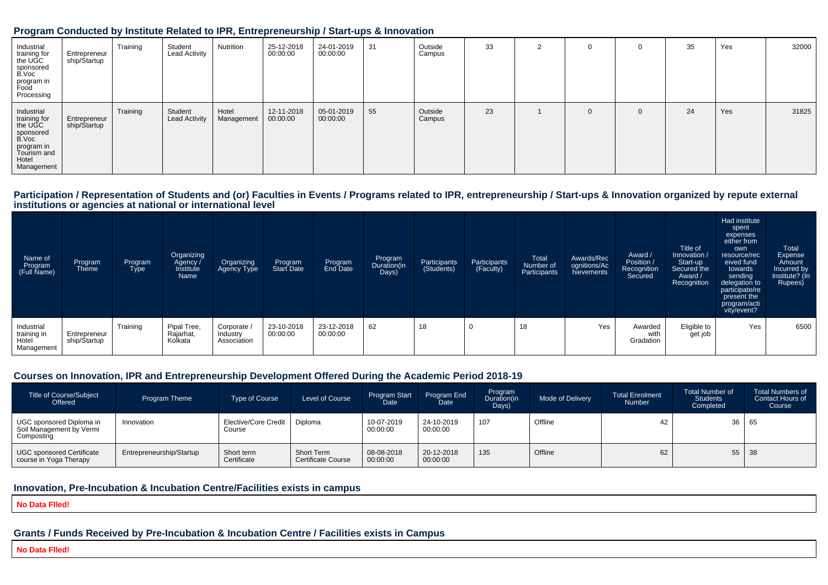#### **Program Conducted by Institute Related to IPR, Entrepreneurship / Start-ups & Innovation**

| Industrial<br>training for<br>the UGC<br>sponsored<br>B.Voc<br>program in<br>Food<br>Processing                 | Entrepreneur<br>ship/Startup | Training | Student<br><b>Lead Activity</b> | Nutrition           | 25-12-2018<br>00:00:00 | 24-01-2019<br>00:00:00 | 31 | Outside<br>Campus | 33 | $\sim$ | 0            |          | 35 | Yes | 32000 |
|-----------------------------------------------------------------------------------------------------------------|------------------------------|----------|---------------------------------|---------------------|------------------------|------------------------|----|-------------------|----|--------|--------------|----------|----|-----|-------|
| Industrial<br>training for<br>the UGC<br>sponsored<br>B.Voc<br>program in<br>Tourism and<br>Hotel<br>Management | Entrepreneur<br>ship/Startup | Training | Student<br><b>Lead Activity</b> | Hotel<br>Management | 12-11-2018<br>00:00:00 | 05-01-2019<br>00:00:00 | 55 | Outside<br>Campus | 23 |        | $\mathbf{0}$ | $\Omega$ | 24 | Yes | 31825 |

# Participation / Representation of Students and (or) Faculties in Events / Programs related to IPR, entrepreneurship / Start-ups & Innovation organized by repute external<br>institutions or agencies at national or internationa

| Name of<br>Program<br>(Full Name)                  | Program<br>Theme             | Program<br><b>Type</b> | Organizing<br>Agency<br>Institute<br>Name | Organizing<br>Agency Type            | Program<br>Start Date  | Program<br>End Date    | Program<br>Duration(in<br>Days) | Participants<br>(Students) | Participants<br>(Faculty) | Total<br>Number of<br>Participants | Awards/Rec<br>ognitions/Ac<br>hievements | Award /<br>Position /<br>Recognition<br>Secured | Title of<br>Innovation /<br>Start-up<br>Secured the<br>Award /<br>Recognition | Had institute<br>spent<br>expenses<br>either from<br>own<br>resource/rec<br>eived fund<br>towards<br>sending<br>delegation to<br>participate/re<br>present the<br>program/acti<br>vity/event? | Total<br>Expense<br>Amount<br>Incurred by<br>Institute? (In<br>Rupees) |
|----------------------------------------------------|------------------------------|------------------------|-------------------------------------------|--------------------------------------|------------------------|------------------------|---------------------------------|----------------------------|---------------------------|------------------------------------|------------------------------------------|-------------------------------------------------|-------------------------------------------------------------------------------|-----------------------------------------------------------------------------------------------------------------------------------------------------------------------------------------------|------------------------------------------------------------------------|
| Industrial<br>training in<br>Hotel<br>, Management | Entrepreneur<br>ship/Startup | Training               | Pipal Tree,<br>Rajarhat,<br>Kolkata       | Corporate<br>Industry<br>Association | 23-10-2018<br>00:00:00 | 23-12-2018<br>00:00:00 | 62                              | 18                         | л.                        | 18                                 | Yes                                      | Awarded<br>with<br>Gradation                    | Eligible to<br>get job                                                        | Yes                                                                                                                                                                                           | 6500                                                                   |

# **Courses on Innovation, IPR and Entrepreneurship Development Offered During the Academic Period 2018-19**

| <b>Title of Course/Subject</b><br>Offered                          | Program Theme            | <b>Type of Course</b>                    | Level of Course                         | <b>Program Start</b><br><b>Date</b> | <b>Program End</b><br>Date | Program<br>Duration(in<br>Days) | Mode of Delivery | <b>Total Enrolment</b><br>Number | <b>Total Number of</b><br><b>Students</b><br>Completed | <b>Total Numbers of</b><br>Contact Hours of<br>Course |
|--------------------------------------------------------------------|--------------------------|------------------------------------------|-----------------------------------------|-------------------------------------|----------------------------|---------------------------------|------------------|----------------------------------|--------------------------------------------------------|-------------------------------------------------------|
| UGC sponsored Diploma in<br>Soil Management by Vermi<br>Composting | Innovation               | Elective/Core Credit   Diploma<br>Course |                                         | 10-07-2019<br>00:00:00              | 24-10-2019<br>00:00:00     | 107                             | Offline          | 42                               |                                                        | 36 65                                                 |
| <b>UGC sponsored Certificate</b><br>course in Yoga Therapy         | Entrepreneurship/Startup | Short term<br>Certificate                | Short Term<br><b>Certificate Course</b> | 08-08-2018<br>00:00:00              | 20-12-2018<br>00:00:00     | 135                             | Offline          | 62                               |                                                        | $55 \mid 38$                                          |

# **Innovation, Pre-Incubation & Incubation Centre/Facilities exists in campus**

**No Data Flled!**

# **Grants / Funds Received by Pre-Incubation & Incubation Centre / Facilities exists in Campus**

**No Data Flled!**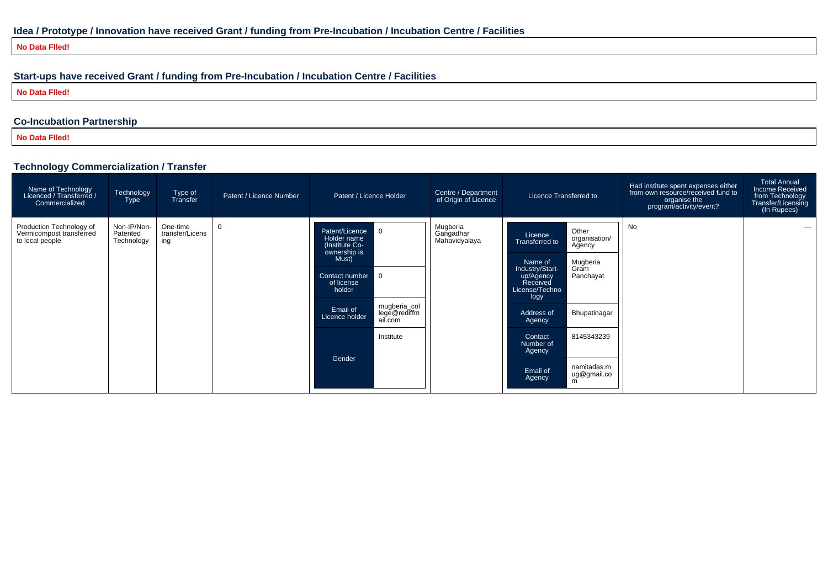**No Data Flled!**

# **Start-ups have received Grant / funding from Pre-Incubation / Incubation Centre / Facilities**

**No Data Flled!**

# **Co-Incubation Partnership**

**No Data Flled!**

# **Technology Commercialization / Transfer**

| $\sim$<br>Name of Technology<br>Licenced / Transferred /<br>Commercialized | Technology<br><b>Type</b>             | Type of<br>Transfer                | Patent / Licence Number | Patent / Licence Holder                                                                                                                                                                                                     | Centre / Department<br>of Origin of Licence | Licence Transferred to                                                                                                                                                                                                                                                                                                      | Had institute spent expenses either<br>from own resource/received fund to<br>organise the<br>program/activity/event? | <b>Total Annual</b><br>Income Received<br>from Technology<br>Transfer/Licensing<br>(In Rupees) |
|----------------------------------------------------------------------------|---------------------------------------|------------------------------------|-------------------------|-----------------------------------------------------------------------------------------------------------------------------------------------------------------------------------------------------------------------------|---------------------------------------------|-----------------------------------------------------------------------------------------------------------------------------------------------------------------------------------------------------------------------------------------------------------------------------------------------------------------------------|----------------------------------------------------------------------------------------------------------------------|------------------------------------------------------------------------------------------------|
| Production Technology of<br>Vermicompost transferred<br>to local people    | Non-IP/Non-<br>Patented<br>Technology | One-time<br>transfer/Licens<br>ing | $\mathbf 0$             | Patent/Licence<br>l 0<br>Holder name<br>(Institute Co-<br>ownership is<br>Must)<br>Contact number 0<br>of license<br>holder<br>mugberia_col<br>lege@rediffm<br>Email of<br>Licence holder<br>ail.com<br>Institute<br>Gender | Mugberia<br>Gangadhar<br>Mahavidyalaya      | Other<br>Licence<br>organisation/<br>Transferred to<br>Agency<br>Mugberia<br>Name of<br>Industry/Start-<br>Gram<br>Panchayat<br>up/Agency<br>Received<br>License/Techno<br>logy<br>Bhupatinagar<br>Address of<br>Agency<br>8145343239<br>Contact<br>Number of<br>Agency<br>namitadas.m<br>Email of<br>ug@gmail.co<br>Agency | No                                                                                                                   | ---                                                                                            |